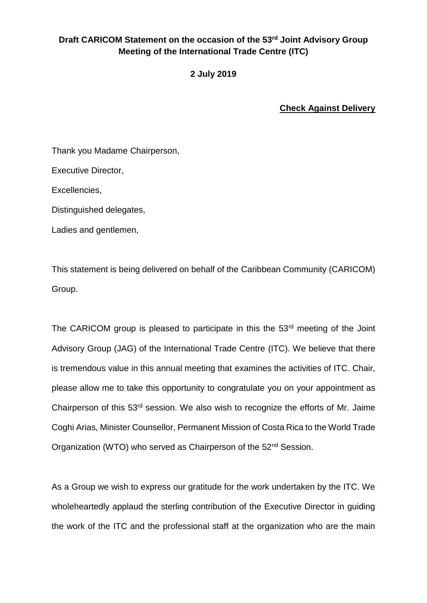## **Draft CARICOM Statement on the occasion of the 53rd Joint Advisory Group Meeting of the International Trade Centre (ITC)**

**2 July 2019**

**Check Against Delivery** 

Thank you Madame Chairperson,

Executive Director,

Excellencies,

Distinguished delegates,

Ladies and gentlemen,

This statement is being delivered on behalf of the Caribbean Community (CARICOM) Group.

The CARICOM group is pleased to participate in this the 53<sup>rd</sup> meeting of the Joint Advisory Group (JAG) of the International Trade Centre (ITC). We believe that there is tremendous value in this annual meeting that examines the activities of ITC. Chair, please allow me to take this opportunity to congratulate you on your appointment as Chairperson of this 53rd session. We also wish to recognize the efforts of Mr. Jaime Coghi Arias, Minister Counsellor, Permanent Mission of Costa Rica to the World Trade Organization (WTO) who served as Chairperson of the 52<sup>nd</sup> Session.

As a Group we wish to express our gratitude for the work undertaken by the ITC. We wholeheartedly applaud the sterling contribution of the Executive Director in guiding the work of the ITC and the professional staff at the organization who are the main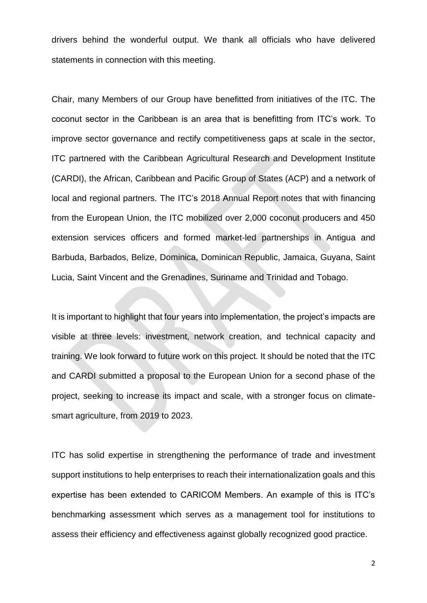drivers behind the wonderful output. We thank all officials who have delivered statements in connection with this meeting.

Chair, many Members of our Group have benefitted from initiatives of the ITC. The coconut sector in the Caribbean is an area that is benefitting from ITC's work. To improve sector governance and rectify competitiveness gaps at scale in the sector, ITC partnered with the Caribbean Agricultural Research and Development Institute (CARDI), the African, Caribbean and Pacific Group of States (ACP) and a network of local and regional partners. The ITC's 2018 Annual Report notes that with financing from the European Union, the ITC mobilized over 2,000 coconut producers and 450 extension services officers and formed market-led partnerships in Antigua and Barbuda, Barbados, Belize, Dominica, Dominican Republic, Jamaica, Guyana, Saint Lucia, Saint Vincent and the Grenadines, Suriname and Trinidad and Tobago.

It is important to highlight that four years into implementation, the project's impacts are visible at three levels: investment, network creation, and technical capacity and training. We look forward to future work on this project. It should be noted that the ITC and CARDI submitted a proposal to the European Union for a second phase of the project, seeking to increase its impact and scale, with a stronger focus on climatesmart agriculture, from 2019 to 2023.

ITC has solid expertise in strengthening the performance of trade and investment support institutions to help enterprises to reach their internationalization goals and this expertise has been extended to CARICOM Members. An example of this is ITC's benchmarking assessment which serves as a management tool for institutions to assess their efficiency and effectiveness against globally recognized good practice.

2